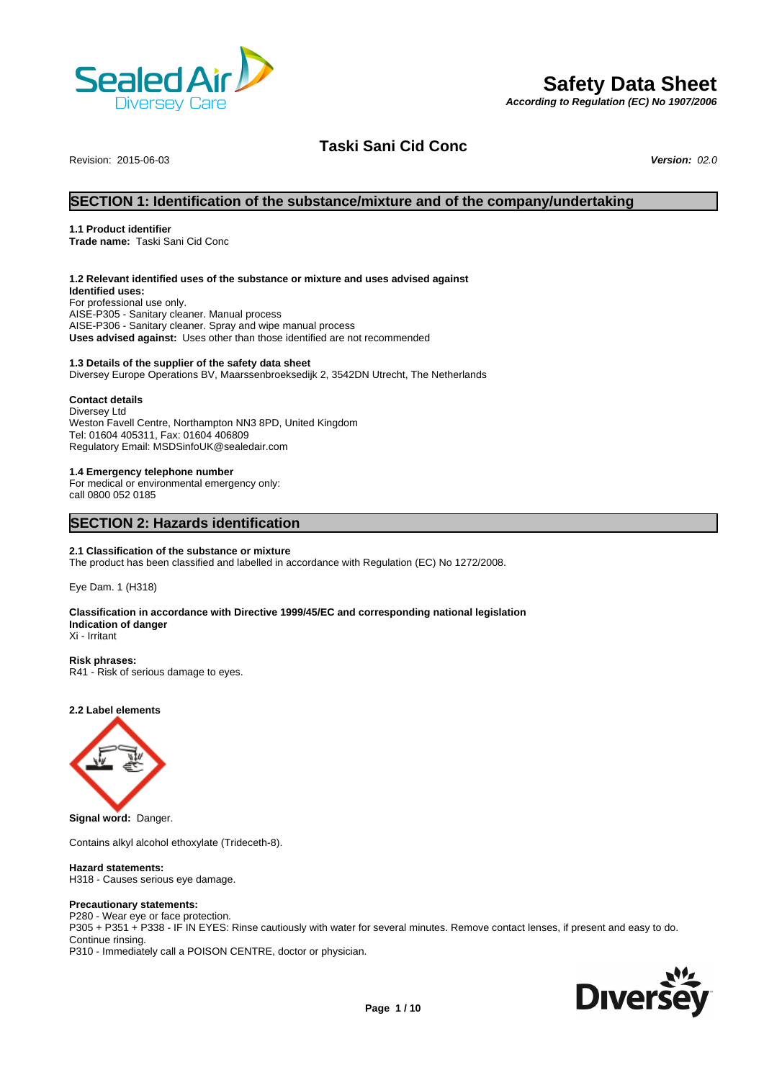

# **Safety Data Sheet**

*According to Regulation (EC) No 1907/2006*

# **Taski Sani Cid Conc**

Revision: 2015-06-03 *Version: 02.0*

# **SECTION 1: Identification of the substance/mixture and of the company/undertaking**

# **1.1 Product identifier**

**Trade name:** Taski Sani Cid Conc

### **1.2 Relevant identified uses of the substance or mixture and uses advised against**

**Identified uses:** For professional use only. AISE-P305 - Sanitary cleaner. Manual process AISE-P306 - Sanitary cleaner. Spray and wipe manual process **Uses advised against:** Uses other than those identified are not recommended

# **1.3 Details of the supplier of the safety data sheet**

Diversey Europe Operations BV, Maarssenbroeksedijk 2, 3542DN Utrecht, The Netherlands

# **Contact details**

Diversey Ltd Weston Favell Centre, Northampton NN3 8PD, United Kingdom Tel: 01604 405311, Fax: 01604 406809 Regulatory Email: MSDSinfoUK@sealedair.com

#### **1.4 Emergency telephone number**

For medical or environmental emergency only: call 0800 052 0185

# **SECTION 2: Hazards identification**

### **2.1 Classification of the substance or mixture**

The product has been classified and labelled in accordance with Regulation (EC) No 1272/2008.

Eye Dam. 1 (H318)

# **Classification in accordance with Directive 1999/45/EC and corresponding national legislation Indication of danger**

Xi - Irritant

**Risk phrases:** R41 - Risk of serious damage to eyes.

# **2.2 Label elements**



**Signal word:** Danger.

Contains alkyl alcohol ethoxylate (Trideceth-8).

### **Hazard statements:**

H318 - Causes serious eye damage.

# **Precautionary statements:**

P280 - Wear eye or face protection. P305 + P351 + P338 - IF IN EYES: Rinse cautiously with water for several minutes. Remove contact lenses, if present and easy to do. Continue rinsing. P310 - Immediately call a POISON CENTRE, doctor or physician.

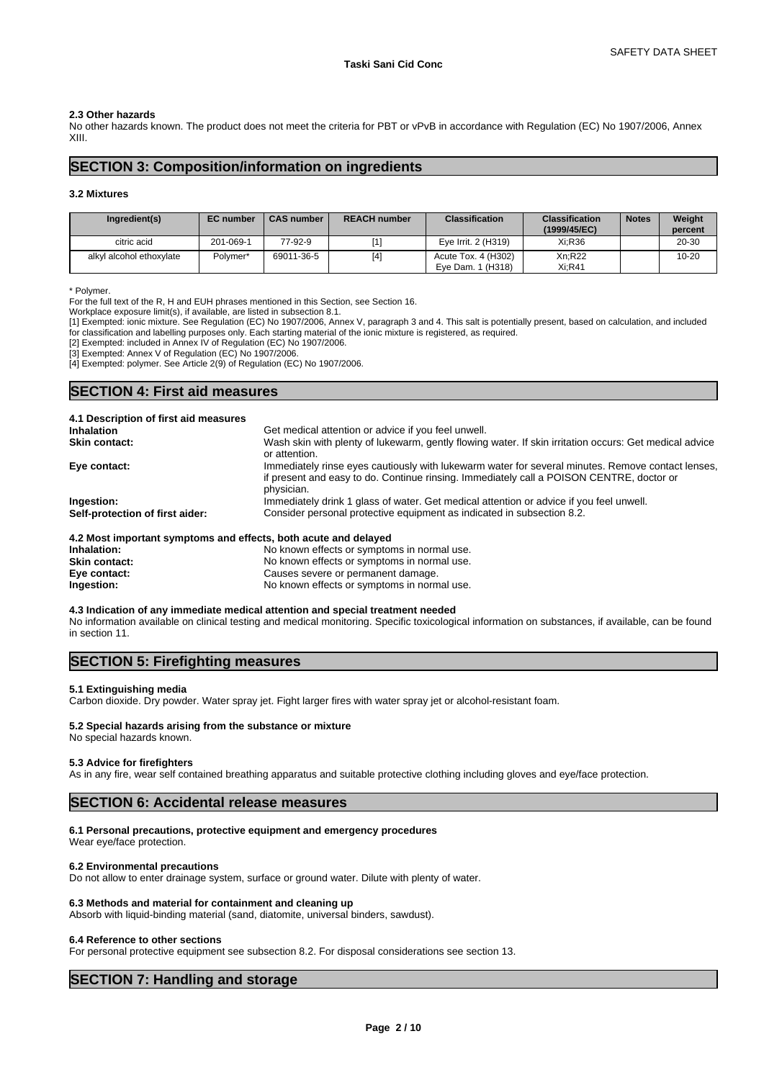# **2.3 Other hazards**

No other hazards known. The product does not meet the criteria for PBT or vPvB in accordance with Regulation (EC) No 1907/2006, Annex XIII.

# **SECTION 3: Composition/information on ingredients**

#### **3.2 Mixtures**

| Ingredient(s)            | <b>EC</b> number | <b>CAS number</b> | <b>REACH number</b> | <b>Classification</b>                    | <b>Classification</b><br>(1999/45/EC) | <b>Notes</b> | Weight<br>percent |
|--------------------------|------------------|-------------------|---------------------|------------------------------------------|---------------------------------------|--------------|-------------------|
| citric acid              | 201-069-1        | 77-92-9           |                     | Eve Irrit. 2 (H319)                      | Xi:R36                                |              | 20-30             |
| alkyl alcohol ethoxylate | Polymer*         | 69011-36-5        | [4]                 | Acute Tox. 4 (H302)<br>Eve Dam. 1 (H318) | Xn:R22<br>$Xi:$ R41                   |              | $10 - 20$         |

\* Polymer.

For the full text of the R, H and EUH phrases mentioned in this Section, see Section 16.

Workplace exposure limit(s), if available, are listed in subsection 8.1.

[1] Exempted: ionic mixture. See Regulation (EC) No 1907/2006, Annex V, paragraph 3 and 4. This salt is potentially present, based on calculation, and included for classification and labelling purposes only. Each starting material of the ionic mixture is registered, as required.

[2] Exempted: included in Annex IV of Regulation (EC) No 1907/2006.

[3] Exempted: Annex V of Regulation (EC) No 1907/2006.

[4] Exempted: polymer. See Article 2(9) of Regulation (EC) No 1907/2006.

# **SECTION 4: First aid measures**

| 4.1 Description of first aid measures                           |                                                                                                                                                                                                             |
|-----------------------------------------------------------------|-------------------------------------------------------------------------------------------------------------------------------------------------------------------------------------------------------------|
| <b>Inhalation</b>                                               | Get medical attention or advice if you feel unwell.                                                                                                                                                         |
| <b>Skin contact:</b>                                            | Wash skin with plenty of lukewarm, gently flowing water. If skin irritation occurs: Get medical advice<br>or attention.                                                                                     |
| Eye contact:                                                    | Immediately rinse eyes cautiously with lukewarm water for several minutes. Remove contact lenses,<br>if present and easy to do. Continue rinsing. Immediately call a POISON CENTRE, doctor or<br>physician. |
| Ingestion:                                                      | Immediately drink 1 glass of water. Get medical attention or advice if you feel unwell.                                                                                                                     |
| Self-protection of first aider:                                 | Consider personal protective equipment as indicated in subsection 8.2.                                                                                                                                      |
| 4.2 Most important symptoms and effects, both acute and delayed |                                                                                                                                                                                                             |
| Inhalation:                                                     | No known effects or symptoms in normal use.                                                                                                                                                                 |
| $O(x^2 - 1)$                                                    | No known effects or symptoms in normal use                                                                                                                                                                  |

**Skin contact:** No known effects or symptoms in normal use.<br> **Eye contact:** No known effects or symptoms in normal use. **Eye contact:** Causes severe or permanent damage.<br> **Ingestion:** Causes Severe or symptoms in norn **Ingestion:** No known effects or symptoms in normal use.

# **4.3 Indication of any immediate medical attention and special treatment needed**

No information available on clinical testing and medical monitoring. Specific toxicological information on substances, if available, can be found in section 11.

# **SECTION 5: Firefighting measures**

#### **5.1 Extinguishing media**

Carbon dioxide. Dry powder. Water spray jet. Fight larger fires with water spray jet or alcohol-resistant foam.

#### **5.2 Special hazards arising from the substance or mixture** No special hazards known.

**5.3 Advice for firefighters**

# As in any fire, wear self contained breathing apparatus and suitable protective clothing including gloves and eye/face protection.

# **SECTION 6: Accidental release measures**

# **6.1 Personal precautions, protective equipment and emergency procedures**

Wear eye/face protection.

#### **6.2 Environmental precautions**

Do not allow to enter drainage system, surface or ground water. Dilute with plenty of water.

# **6.3 Methods and material for containment and cleaning up**

Absorb with liquid-binding material (sand, diatomite, universal binders, sawdust).

#### **6.4 Reference to other sections**

For personal protective equipment see subsection 8.2. For disposal considerations see section 13.

# **SECTION 7: Handling and storage**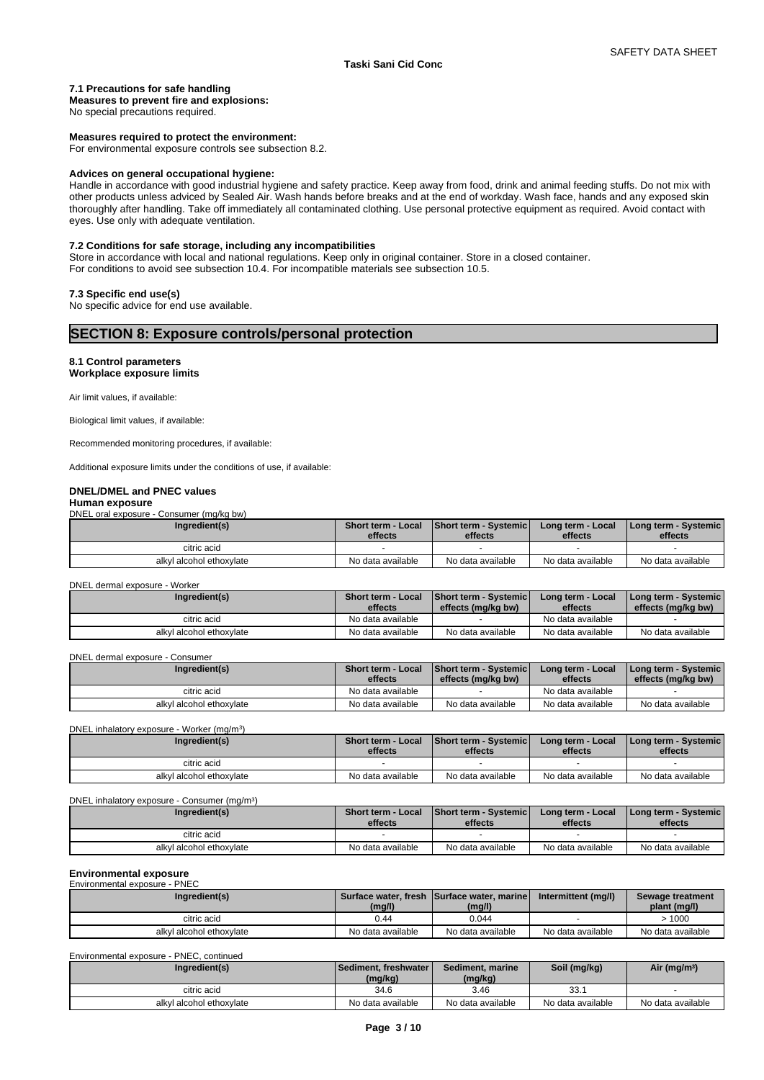#### **7.1 Precautions for safe handling**

# **Measures to prevent fire and explosions:**

No special precautions required.

#### **Measures required to protect the environment:**

For environmental exposure controls see subsection 8.2.

# **Advices on general occupational hygiene:**

Handle in accordance with good industrial hygiene and safety practice. Keep away from food, drink and animal feeding stuffs. Do not mix with other products unless adviced by Sealed Air. Wash hands before breaks and at the end of workday. Wash face, hands and any exposed skin thoroughly after handling. Take off immediately all contaminated clothing. Use personal protective equipment as required. Avoid contact with eyes. Use only with adequate ventilation.

# **7.2 Conditions for safe storage, including any incompatibilities**

Store in accordance with local and national regulations. Keep only in original container. Store in a closed container. For conditions to avoid see subsection 10.4. For incompatible materials see subsection 10.5.

#### **7.3 Specific end use(s)**

No specific advice for end use available.

#### **8.1 Control parameters Workplace exposure limits**

Air limit values, if available:

Biological limit values, if available:

Recommended monitoring procedures, if available:

Additional exposure limits under the conditions of use, if available:

#### **DNEL/DMEL and PNEC values**

#### **Human exposure**

DNEL oral exposure - Consumer (mg/kg bw)

| Ingredient(s)            | Short term - Local<br>effects | <b>Short term - Systemic</b><br>effects | Long term - Local<br>effects | I Long term - Systemic I<br>effects |
|--------------------------|-------------------------------|-----------------------------------------|------------------------------|-------------------------------------|
| citric acid              |                               |                                         |                              |                                     |
| alkyl alcohol ethoxylate | No data available             | No data available                       | No data available            | No data available                   |

#### DNEL dermal exposure - Worker

| Ingredient(s)            | Short term - Local<br>effects | <b>Short term - Systemic</b><br>effects (mg/kg bw) | Long term - Local<br>effects | I Long term - Systemic I<br>effects (mg/kg bw) |
|--------------------------|-------------------------------|----------------------------------------------------|------------------------------|------------------------------------------------|
| citric acid              | No data available             |                                                    | No data available            |                                                |
| alkyl alcohol ethoxylate | No data available             | No data available                                  | No data available            | No data available                              |

#### DNEL dermal exposure - Consumer

| Ingredient(s)            | Short term - Local<br>effects | <b>Short term - Systemic</b><br>effects (ma/ka bw) | Long term - Local<br>effects | Long term - Systemic  <br>effects (ma/ka bw) |  |
|--------------------------|-------------------------------|----------------------------------------------------|------------------------------|----------------------------------------------|--|
| citric acid              | No data available             |                                                    | No data available            |                                              |  |
| alkyl alcohol ethoxylate | No data available             | No data available                                  | No data available            | No data available                            |  |

| DNEL inhalatory exposure - Worker (mg/m <sup>3</sup> ) |                               |                                         |                              |                                 |
|--------------------------------------------------------|-------------------------------|-----------------------------------------|------------------------------|---------------------------------|
| Ingredient(s)                                          | Short term - Local<br>effects | <b>Short term - Systemic</b><br>effects | Long term - Local<br>effects | Long term - Systemic<br>effects |
| citric acid                                            |                               |                                         |                              |                                 |
| alkyl alcohol ethoxylate                               | No data available             | No data available                       | No data available            | No data available               |

#### DNEL inhalatory exposure - Consumer (mg/m<sup>3</sup>)  $)$

| Ingredient(s)            | Short term - Local<br>effects | <b>Short term - Systemicl</b><br>effects | Long term - Local<br>effects | <b>I Long term - Systemic I</b><br>effects |
|--------------------------|-------------------------------|------------------------------------------|------------------------------|--------------------------------------------|
| citric acid              |                               |                                          |                              |                                            |
| alkyl alcohol ethoxylate | No data available             | No data available                        | No data available            | No data available                          |

#### **Environmental exposure** Environmental exposure - PNEC

| Ingredient(s)            | (mg/l)            | Surface water, fresh Surface water, marine<br>(mg/l) | Intermittent (mg/l) | Sewage treatment<br>plant (mg/l) |
|--------------------------|-------------------|------------------------------------------------------|---------------------|----------------------------------|
| citric acid              | 0.44              | 0.044                                                |                     | 1000                             |
| alkyl alcohol ethoxylate | No data available | No data available                                    | No data available   | No data available                |

Environmental exposure - PNEC, continued

| Ingredient(s)            | Sediment, freshwater I<br>(mg/kg) | Sediment, marine<br>(mg/kg) | Soil (mg/kg)      | Air (mg/m <sup>3</sup> ) |
|--------------------------|-----------------------------------|-----------------------------|-------------------|--------------------------|
| citric acid              | 34.6                              | 3.46                        | 33.1              |                          |
| alkyl alcohol ethoxylate | No data available                 | No data available           | No data available | No data available        |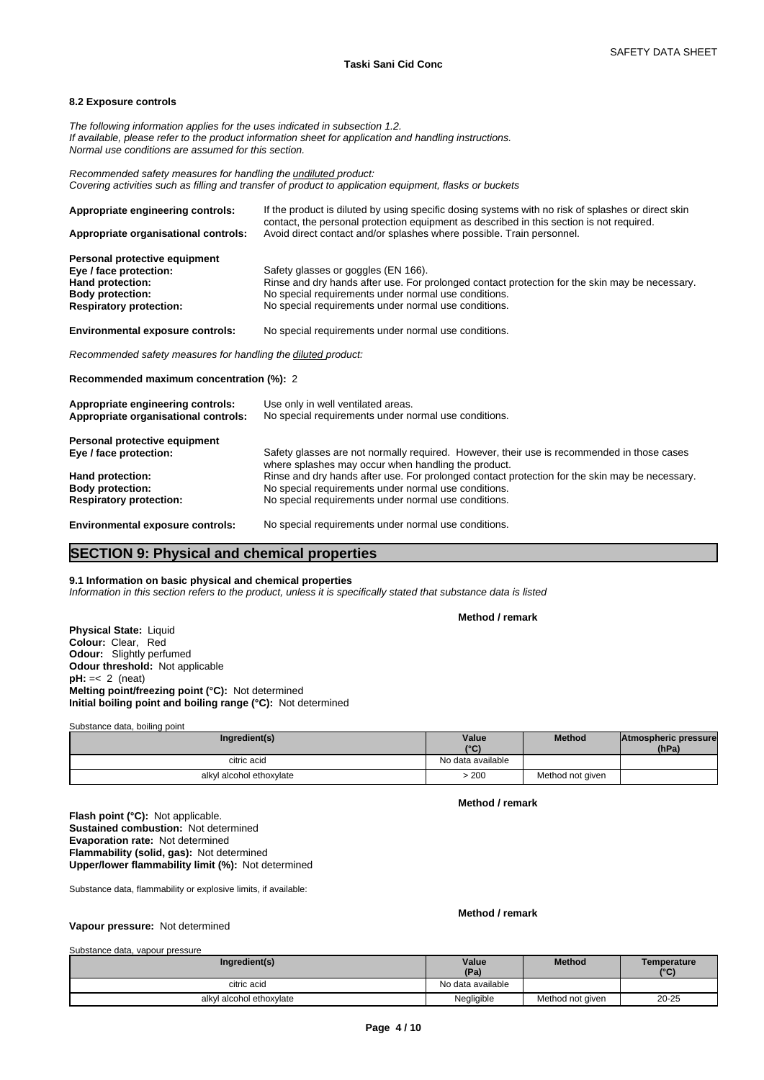# **8.2 Exposure controls**

*The following information applies for the uses indicated in subsection 1.2. If available, please refer to the product information sheet for application and handling instructions. Normal use conditions are assumed for this section.*

*Recommended safety measures for handling the undiluted product: Covering activities such as filling and transfer of product to application equipment, flasks or buckets*

| Appropriate engineering controls:                                                                      | If the product is diluted by using specific dosing systems with no risk of splashes or direct skin<br>contact, the personal protection equipment as described in this section is not required. |
|--------------------------------------------------------------------------------------------------------|------------------------------------------------------------------------------------------------------------------------------------------------------------------------------------------------|
| Appropriate organisational controls:                                                                   | Avoid direct contact and/or splashes where possible. Train personnel.                                                                                                                          |
| Personal protective equipment<br>Eye / face protection:<br>Hand protection:<br><b>Body protection:</b> | Safety glasses or goggles (EN 166).<br>Rinse and dry hands after use. For prolonged contact protection for the skin may be necessary.<br>No special requirements under normal use conditions.  |
| <b>Respiratory protection:</b>                                                                         | No special requirements under normal use conditions.                                                                                                                                           |
| <b>Environmental exposure controls:</b>                                                                | No special requirements under normal use conditions.                                                                                                                                           |
| Recommended safety measures for handling the diluted product:                                          |                                                                                                                                                                                                |
| Recommended maximum concentration (%): 2                                                               |                                                                                                                                                                                                |
| Appropriate engineering controls:<br>Appropriate organisational controls:                              | Use only in well ventilated areas.<br>No special requirements under normal use conditions.                                                                                                     |
| Personal protective equipment                                                                          |                                                                                                                                                                                                |
| Eye / face protection:                                                                                 | Safety glasses are not normally required. However, their use is recommended in those cases<br>where splashes may occur when handling the product.                                              |
| Hand protection:                                                                                       | Rinse and dry hands after use. For prolonged contact protection for the skin may be necessary.                                                                                                 |
| <b>Body protection:</b>                                                                                | No special requirements under normal use conditions.                                                                                                                                           |
| <b>Respiratory protection:</b>                                                                         | No special requirements under normal use conditions.                                                                                                                                           |

**Environmental exposure controls:** No special requirements under normal use conditions.

# **SECTION 9: Physical and chemical properties**

# **9.1 Information on basic physical and chemical properties**

*Information in this section refers to the product, unless it is specifically stated that substance data is listed*

**Method / remark**

**Physical State:** Liquid **Colour:** Clear, Red **Odour:** Slightly perfumed **Odour threshold:** Not applicable **pH:** =< 2 (neat) **Melting point/freezing point (°C):** Not determined **Initial boiling point and boiling range (°C):** Not determined

Substance data, boiling point

| Ingredient(s)            | Value<br>10(1)<br>u | <b>Method</b>    | Atmospheric pressure<br>(hPa) |  |
|--------------------------|---------------------|------------------|-------------------------------|--|
| citric acid              | No data available   |                  |                               |  |
| alkyl alcohol ethoxylate | .200                | Method not given |                               |  |

**Method / remark**

**Flash point (°C):** Not applicable. **Sustained combustion:** Not determined **Evaporation rate:** Not determined **Flammability (solid, gas):** Not determined **Upper/lower flammability limit (%):** Not determined

Substance data, flammability or explosive limits, if available:

### **Method / remark**

# **Vapour pressure:** Not determined

Substance data, vapour pressure

| Ingredient(s)            | Value<br>(Pa)     | <b>Method</b>    | Temperature<br>(°C) |
|--------------------------|-------------------|------------------|---------------------|
| citric acid              | No data available |                  |                     |
| alkyl alcohol ethoxylate | Negligible        | Method not given | $20 - 25$           |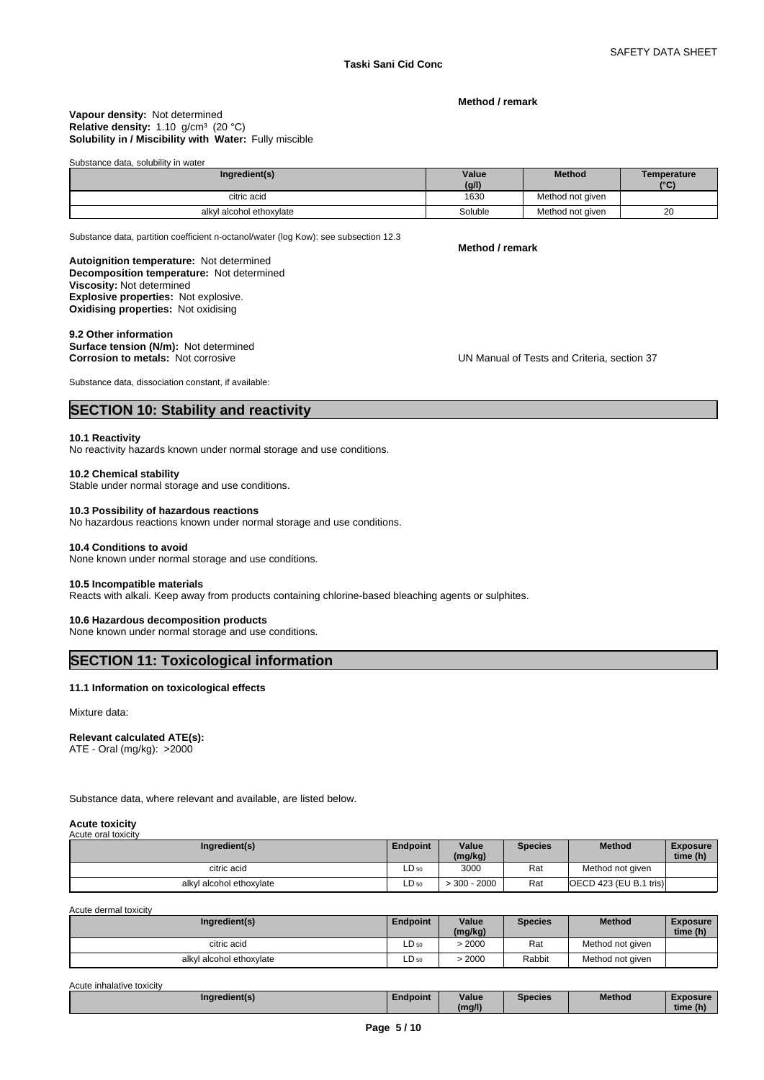**Method / remark**

#### **Solubility in / Miscibility with Water:** Fully miscible **Vapour density:** Not determined Relative density: 1.10 g/cm<sup>3</sup> (20 °C)

Substance data, solubility in water

| Ingredient(s)            | Value<br>(g/l) | <b>Method</b>    | Temperature<br>$\sim$ |
|--------------------------|----------------|------------------|-----------------------|
| citric acid              | 1630           | Method not given |                       |
| alkyl alcohol ethoxylate | Soluble        | Method not given | 20                    |

Substance data, partition coefficient n-octanol/water (log Kow): see subsection 12.3

**Method / remark**

**Decomposition temperature:** Not determined **Autoignition temperature:** Not determined **Viscosity:** Not determined **Explosive properties:** Not explosive. **Oxidising properties:** Not oxidising

# **9.2 Other information**

**Surface tension (N/m):** Not determined **Corrosion to metals:** Not corrosive

**UN Manual of Tests and Criteria, section 37** 

Substance data, dissociation constant, if available:

# **SECTION 10: Stability and reactivity**

#### **10.1 Reactivity**

No reactivity hazards known under normal storage and use conditions.

#### **10.2 Chemical stability**

Stable under normal storage and use conditions.

# **10.3 Possibility of hazardous reactions**

No hazardous reactions known under normal storage and use conditions.

#### **10.4 Conditions to avoid**

None known under normal storage and use conditions.

#### **10.5 Incompatible materials**

Reacts with alkali. Keep away from products containing chlorine-based bleaching agents or sulphites.

# **10.6 Hazardous decomposition products**

None known under normal storage and use conditions.

# **SECTION 11: Toxicological information**

# **11.1 Information on toxicological effects**

Mixture data:

# **Relevant calculated ATE(s):**

ATE - Oral (mg/kg): >2000

Substance data, where relevant and available, are listed below.

#### **Acute toxicity** Acute oral toy

| AGULT UTAI IUAIGILY<br>Ingredient(s) | <b>Endpoint</b>  | Value<br>(mg/kg) | <b>Species</b> | <b>Method</b>            | <b>Exposure</b><br>time (h) |
|--------------------------------------|------------------|------------------|----------------|--------------------------|-----------------------------|
| citric acid                          | LD <sub>50</sub> | 3000             | Rat            | Method not given         |                             |
| alkvl alcohol ethoxvlate             | $LD_{50}$        | $-300 - 2000$    | Rat            | [OECD 423 (EU B.1 tris)] |                             |

Acute dermal toxicity

| Ingredient(s)            | <b>Endpoint</b> | Value<br>(mg/kg) | <b>Species</b> | <b>Method</b>    | <b>Exposure</b><br>time (h) |
|--------------------------|-----------------|------------------|----------------|------------------|-----------------------------|
| citric acid              | $LD_{50}$       | 2000             | Rat            | Method not given |                             |
| alkyl alcohol ethoxylate | $LD_{50}$       | 2000             | Rabbit         | Method not given |                             |

Acute inhalative toxicity

| $-1$<br>Ingredient(s) | Endpoint | . .<br>Value | <b>Species</b> | Method | <b>Exposure</b> |  |
|-----------------------|----------|--------------|----------------|--------|-----------------|--|
|                       |          | (ma/l)       |                |        | time (h)        |  |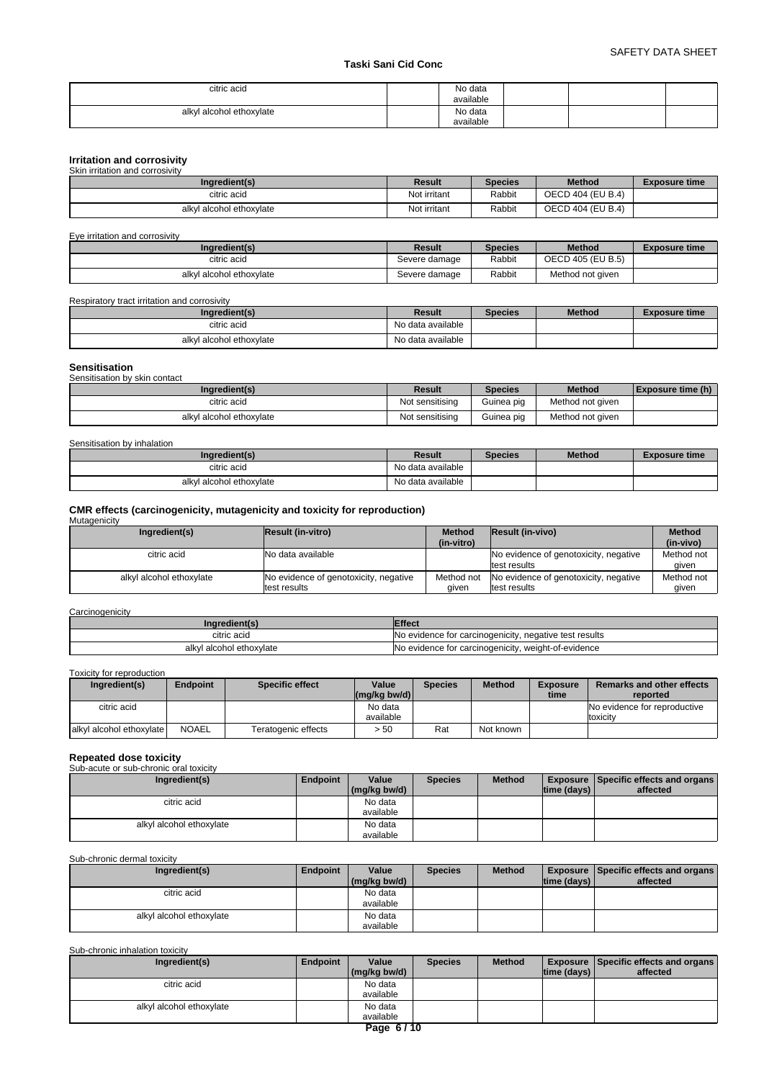# **Taski Sani Cid Conc**

| citric acid              | No data<br>available |  |  |
|--------------------------|----------------------|--|--|
| alkyl alcohol ethoxylate | No data              |  |  |
|                          | available            |  |  |

| Irritation and corrosivity      |              |                |                   |                      |
|---------------------------------|--------------|----------------|-------------------|----------------------|
| Skin irritation and corrosivity |              |                |                   |                      |
| Ingredient(s)                   | Result       | <b>Species</b> | <b>Method</b>     | <b>Exposure time</b> |
| citric acid                     | Not irritant | Rabbit         | OECD 404 (EU B.4) |                      |
| alkyl alcohol ethoxylate        | Not irritant | Rabbit         | OECD 404 (EU B.4) |                      |

Eye irritation and corrosivity

| Ingredient(s)            | Result        | <b>Species</b> | <b>Method</b>     | <b>Exposure time</b> |
|--------------------------|---------------|----------------|-------------------|----------------------|
| citric acid              | Severe damage | Rabbit         | OECD 405 (EU B.5) |                      |
| alkyl alcohol ethoxylate | Severe damage | Rabbit         | Method not given  |                      |

Respiratory tract irritation and corrosivity

| Ingredient(s)            | Result            | <b>Species</b> | <b>Method</b> | Exposure time |
|--------------------------|-------------------|----------------|---------------|---------------|
| citric acid              | No data available |                |               |               |
| alkyl alcohol ethoxylate | No data available |                |               |               |

| Sensitisation                 |                 |                |                  |                   |
|-------------------------------|-----------------|----------------|------------------|-------------------|
| Sensitisation by skin contact |                 |                |                  |                   |
| Ingredient(s)                 | Result          | <b>Species</b> | <b>Method</b>    | Exposure time (h) |
| citric acid                   | Not sensitising | Guinea pig     | Method not given |                   |
| alkyl alcohol ethoxylate      | Not sensitising | Guinea pig     | Method not given |                   |

# Sensitisation by inhalation

| Ingredient(s)            | Result            | <b>Species</b> | <b>Method</b> | Exposure time |
|--------------------------|-------------------|----------------|---------------|---------------|
| citric acid              | No data available |                |               |               |
| alkyl alcohol ethoxylate | No data available |                |               |               |

# **CMR effects (carcinogenicity, mutagenicity and toxicity for reproduction)**

| Mutagenicity             |                                                       |                             |                                                       |                            |
|--------------------------|-------------------------------------------------------|-----------------------------|-------------------------------------------------------|----------------------------|
| Ingredient(s)            | Result (in-vitro)                                     | <b>Method</b><br>(in-vitro) | <b>Result (in-vivo)</b>                               | <b>Method</b><br>(in-vivo) |
| citric acid              | No data available                                     |                             | No evidence of genotoxicity, negative<br>test results | Method not<br>given        |
| alkyl alcohol ethoxylate | No evidence of genotoxicity, negative<br>test results | Method not<br>aiven         | No evidence of genotoxicity, negative<br>test results | Method not<br>aiven        |

### **Carcinogenicity**

| ngredient(s)             | Effect                                                 |
|--------------------------|--------------------------------------------------------|
| citric acid              | No evidence for carcinogenicity, negative test results |
| alkyl alcohol ethoxylate | No evidence for carcinogenicity, weight-of-evidence    |

# Toxicity for reproduction

| Ingredient(s)             | <b>Endpoint</b> | Specific effect     | Value<br>$(mq/kg$ bw/d) | <b>Species</b> | <b>Method</b> | <b>Exposure</b><br>time | Remarks and other effects<br>reported    |
|---------------------------|-----------------|---------------------|-------------------------|----------------|---------------|-------------------------|------------------------------------------|
| citric acid               |                 |                     | No data<br>available    |                |               |                         | No evidence for reproductive<br>toxicity |
| lalkyl alcohol ethoxylate | <b>NOAEL</b>    | Teratogenic effects | > 50                    | Rat            | Not known     |                         |                                          |

# **Repeated dose toxicity** Sub-acute or sub-chronic oral toxicity

| Ingredient(s)            | <b>Endpoint</b> | Value<br>(mg/kg bw/d) | <b>Species</b> | <b>Method</b> | time (days) | Exposure Specific effects and organs<br>affected |
|--------------------------|-----------------|-----------------------|----------------|---------------|-------------|--------------------------------------------------|
| citric acid              |                 | No data<br>available  |                |               |             |                                                  |
| alkyl alcohol ethoxylate |                 | No data<br>available  |                |               |             |                                                  |

# Sub-chronic dermal toxicity

| Ingredient(s)            | <b>Endpoint</b> | Value<br>(mg/kg bw/d) | <b>Species</b> | <b>Method</b> | time (days) | <b>Exposure Specific effects and organs</b><br>affected |
|--------------------------|-----------------|-----------------------|----------------|---------------|-------------|---------------------------------------------------------|
| citric acid              |                 | No data<br>available  |                |               |             |                                                         |
| alkyl alcohol ethoxylate |                 | No data<br>available  |                |               |             |                                                         |

# Sub-chronic inhalation toxicity

| Ingredient(s)            | Endpoint | Value        | <b>Species</b> | <b>Method</b> |                    | <b>Exposure Specific effects and organs</b> |
|--------------------------|----------|--------------|----------------|---------------|--------------------|---------------------------------------------|
|                          |          | (mg/kg bw/d) |                |               | $ time$ (days) $ $ | affected                                    |
| citric acid              |          | No data      |                |               |                    |                                             |
|                          |          | available    |                |               |                    |                                             |
| alkyl alcohol ethoxylate |          | No data      |                |               |                    |                                             |
|                          |          | available    |                |               |                    |                                             |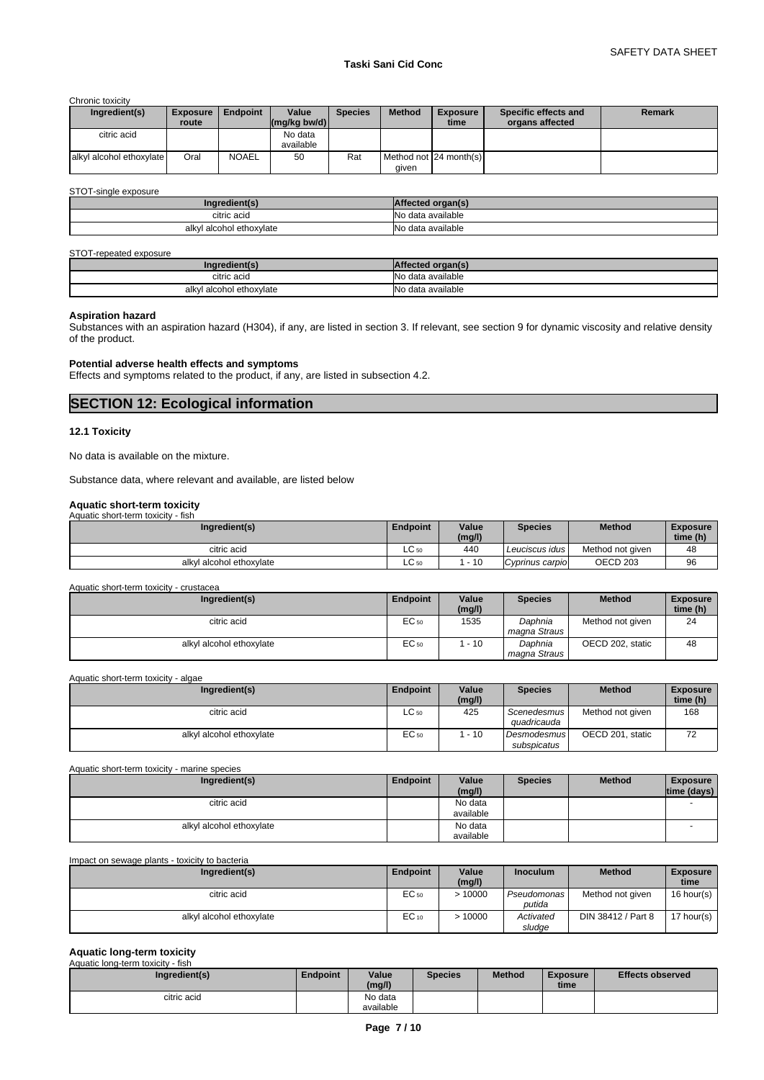Chronic toxicity

| Ingredient(s)            | <b>Exposure</b><br>route | <b>Endpoint</b> | Value<br>$\left \frac{\text{mg}}{\text{kg}}\right $ (mg/kg bw/d) | <b>Species</b> | <b>Method</b> | <b>Exposure</b><br>time  | Specific effects and<br>organs affected | <b>Remark</b> |
|--------------------------|--------------------------|-----------------|------------------------------------------------------------------|----------------|---------------|--------------------------|-----------------------------------------|---------------|
| citric acid              |                          |                 | No data<br>available                                             |                |               |                          |                                         |               |
| alkyl alcohol ethoxylate | Oral                     | <b>NOAEL</b>    | 50                                                               | Rat            | aiven         | Method not [24 month(s)] |                                         |               |

STOT-single exposure

| <b>EAR</b><br>ıngr                |                   |
|-----------------------------------|-------------------|
| citric acid                       | No data available |
| <br>l alcohol ethoxylate<br>alkyl | No data available |

#### STOT-repeated exposure

| inn                  |                      |
|----------------------|----------------------|
| citric acid          | <b>N<sub>o</sub></b> |
| .                    | o data available     |
| l alcohol ethoxvlate | <b>N<sub>o</sub></b> |
| alkvl                | o data available     |

# **Aspiration hazard**

Substances with an aspiration hazard (H304), if any, are listed in section 3. If relevant, see section 9 for dynamic viscosity and relative density of the product.

# **Potential adverse health effects and symptoms**

Effects and symptoms related to the product, if any, are listed in subsection 4.2.

# **SECTION 12: Ecological information**

# **12.1 Toxicity**

No data is available on the mixture.

Substance data, where relevant and available, are listed below

# **Aquatic short-term toxicity** Aquatic short-term toxicity - fish

| Ingredient(s)            | <b>Endpoint</b> | Value<br>(mg/l) | <b>Species</b>  | <b>Method</b>       | <b>Exposure</b><br>time (h) |
|--------------------------|-----------------|-----------------|-----------------|---------------------|-----------------------------|
| citric acid              | $\sim$<br>LC 50 | 440             | Leuciscus idus  | Method not given    | 48                          |
| alkyl alcohol ethoxylate | LU 50           | $-10$           | Cyprinus carpio | OECD <sub>203</sub> | 96                          |

#### Aquatic short-term toxicity - crustacea

| Ingredient(s)            | <b>Endpoint</b> | Value<br>(mg/l) | <b>Species</b>          | <b>Method</b>    | <b>Exposure</b><br>time (h) |
|--------------------------|-----------------|-----------------|-------------------------|------------------|-----------------------------|
| citric acid              | EC 50           | 1535            | Daphnia<br>magna Straus | Method not given | 24                          |
| alkyl alcohol ethoxylate | EC 50           | $-10$           | Daphnia<br>magna Straus | OECD 202. static | 48                          |

Aquatic short-term toxicity - algae

| Ingredient(s)            | <b>Endpoint</b> | Value  | <b>Species</b>                    | <b>Method</b>    | <b>Exposure</b> |
|--------------------------|-----------------|--------|-----------------------------------|------------------|-----------------|
|                          |                 | (mg/l) |                                   |                  | time (h)        |
| citric acid              | $LC_{50}$       | 425    | Scenedesmus<br>quadricauda        | Method not given | 168             |
| alkyl alcohol ethoxylate | EC 50           | $-10$  | <b>Desmodesmus</b><br>subspicatus | OECD 201, static | 72              |

| Aquatic short-term toxicity - marine species |          |                      |                |               |                                |
|----------------------------------------------|----------|----------------------|----------------|---------------|--------------------------------|
| Ingredient(s)                                | Endpoint | Value<br>(mg/l)      | <b>Species</b> | <b>Method</b> | <b>Exposure</b><br>time (days) |
| citric acid                                  |          | No data<br>available |                |               |                                |
| alkyl alcohol ethoxylate                     |          | No data<br>available |                |               |                                |

# Impact on sewage plants - toxicity to bacteria

| Ingredient(s)            | Endpoint  | Value<br>(mg/l) | <b>Inoculum</b>       | <b>Method</b>      | <b>Exposure</b><br>time |
|--------------------------|-----------|-----------------|-----------------------|--------------------|-------------------------|
| citric acid              | EC 50     | >10000          | Pseudomonas<br>putida | Method not given   | $16$ hour(s)            |
| alkyl alcohol ethoxylate | $EC_{10}$ | 10000           | Activated<br>sludge   | DIN 38412 / Part 8 | 17 hour(s)              |

# **Aquatic long-term toxicity**

| Aquatic long-term toxicity - fish |          |           |                |               |          |                         |
|-----------------------------------|----------|-----------|----------------|---------------|----------|-------------------------|
| Ingredient(s)                     | Endpoint | Value     | <b>Species</b> | <b>Method</b> | Exposure | <b>Effects observed</b> |
|                                   |          | (mg/l)    |                |               | time     |                         |
| citric acid                       |          | No data   |                |               |          |                         |
|                                   |          | available |                |               |          |                         |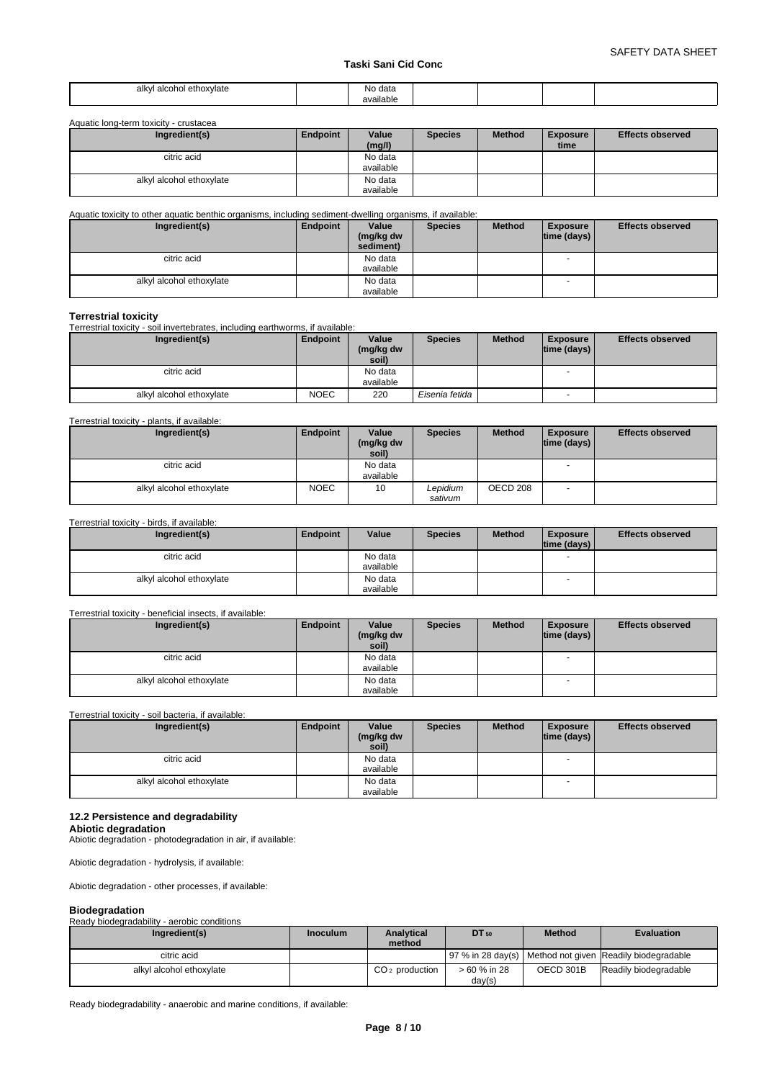# **Taski Sani Cid Conc**

| alkvl<br>'l alcohol ethoxvlate | ≅data<br>INO. |  |  |
|--------------------------------|---------------|--|--|
|                                | <br>available |  |  |

Aquatic long-term toxicity - crustacea

| Ingredient(s)            | Endpoint | Value<br>(mg/l)      | <b>Species</b> | <b>Method</b> | <b>Exposure</b><br>time | <b>Effects observed</b> |
|--------------------------|----------|----------------------|----------------|---------------|-------------------------|-------------------------|
| citric acid              |          | No data<br>available |                |               |                         |                         |
| alkyl alcohol ethoxylate |          | No data<br>available |                |               |                         |                         |

Aquatic toxicity to other aquatic benthic organisms, including sediment-dwelling organisms, if available:

| Ingredient(s)            | Endpoint | Value<br>(mg/kg dw<br>sediment) | <b>Species</b> | <b>Method</b> | <b>Exposure</b><br> time (days) | <b>Effects observed</b> |
|--------------------------|----------|---------------------------------|----------------|---------------|---------------------------------|-------------------------|
| citric acid              |          | No data                         |                |               | $\overline{\phantom{a}}$        |                         |
|                          |          | available                       |                |               |                                 |                         |
| alkyl alcohol ethoxylate |          | No data                         |                |               |                                 |                         |
|                          |          | available                       |                |               |                                 |                         |

# **Terrestrial toxicity**

Terrestrial toxicity - soil invertebrates, including earthworms, if available:

| Ingredient(s)            | Endpoint    | Value<br>(mg/kg dw<br>soil) | <b>Species</b> | <b>Method</b> | <b>Exposure</b><br> time (days) | <b>Effects observed</b> |
|--------------------------|-------------|-----------------------------|----------------|---------------|---------------------------------|-------------------------|
| citric acid              |             | No data<br>available        |                |               |                                 |                         |
| alkyl alcohol ethoxylate | <b>NOEC</b> | 220                         | Eisenia fetida |               | -                               |                         |

#### Terrestrial toxicity - plants, if available:

| Ingredient(s)                               | Endpoint    | Value<br>(mg/kg dw<br>soil) | <b>Species</b>      | <b>Method</b> | <b>Exposure</b><br>$ time$ (days) $ $ | <b>Effects observed</b> |
|---------------------------------------------|-------------|-----------------------------|---------------------|---------------|---------------------------------------|-------------------------|
| citric acid                                 |             | No data<br>available        |                     |               | $\overline{\phantom{a}}$              |                         |
| alkyl alcohol ethoxylate                    | <b>NOEC</b> | 10                          | Lepidium<br>sativum | OECD 208      | - -                                   |                         |
| Terrestrial toxicity - birds, if available: |             |                             |                     |               |                                       |                         |

| Ingredient(s)            | Endpoint | Value     | <b>Species</b> | <b>Method</b> | <b>Exposure</b>    | <b>Effects observed</b> |
|--------------------------|----------|-----------|----------------|---------------|--------------------|-------------------------|
|                          |          |           |                |               | $ time$ (days) $ $ |                         |
| citric acid              |          | No data   |                |               |                    |                         |
|                          |          | available |                |               |                    |                         |
| alkyl alcohol ethoxylate |          | No data   |                |               |                    |                         |
|                          |          | available |                |               |                    |                         |

# Terrestrial toxicity - beneficial insects, if available:

| Ingredient(s)            | Endpoint | Value              | <b>Species</b> | <b>Method</b> | <b>Exposure</b>          | <b>Effects observed</b> |
|--------------------------|----------|--------------------|----------------|---------------|--------------------------|-------------------------|
|                          |          | (mg/kg dw<br>soil) |                |               | time (days)              |                         |
| citric acid              |          | No data            |                |               | $\overline{\phantom{a}}$ |                         |
|                          |          | available          |                |               |                          |                         |
| alkyl alcohol ethoxylate |          | No data            |                |               | $\overline{\phantom{a}}$ |                         |
|                          |          | available          |                |               |                          |                         |

Terrestrial toxicity - soil bacteria, if available:

| Ingredient(s)            | Endpoint | Value<br>(mg/kg dw<br>soil) | <b>Species</b> | <b>Method</b> | <b>Exposure</b><br>$ time$ (days) $ $ | <b>Effects observed</b> |
|--------------------------|----------|-----------------------------|----------------|---------------|---------------------------------------|-------------------------|
| citric acid              |          | No data<br>available        |                |               |                                       |                         |
| alkyl alcohol ethoxylate |          | No data<br>available        |                |               | $\overline{\phantom{a}}$              |                         |

# **12.2 Persistence and degradability**

**Abiotic degradation** Abiotic degradation - photodegradation in air, if available:

Abiotic degradation - hydrolysis, if available:

Abiotic degradation - other processes, if available:

| <b>Biodegradation</b>                       |                 |                  |              |               |                                                          |  |  |  |
|---------------------------------------------|-----------------|------------------|--------------|---------------|----------------------------------------------------------|--|--|--|
| Ready biodegradability - aerobic conditions |                 |                  |              |               |                                                          |  |  |  |
| Ingredient(s)                               | <b>Inoculum</b> | Analytical       | DT 50        | <b>Method</b> | <b>Evaluation</b>                                        |  |  |  |
|                                             |                 | method           |              |               |                                                          |  |  |  |
| citric acid                                 |                 |                  |              |               | 97 % in 28 day(s) Method not given Readily biodegradable |  |  |  |
| alkyl alcohol ethoxylate                    |                 | $CO2$ production | > 60 % in 28 | OECD 301B     | Readily biodegradable                                    |  |  |  |
|                                             |                 |                  | day(s)       |               |                                                          |  |  |  |

Ready biodegradability - anaerobic and marine conditions, if available: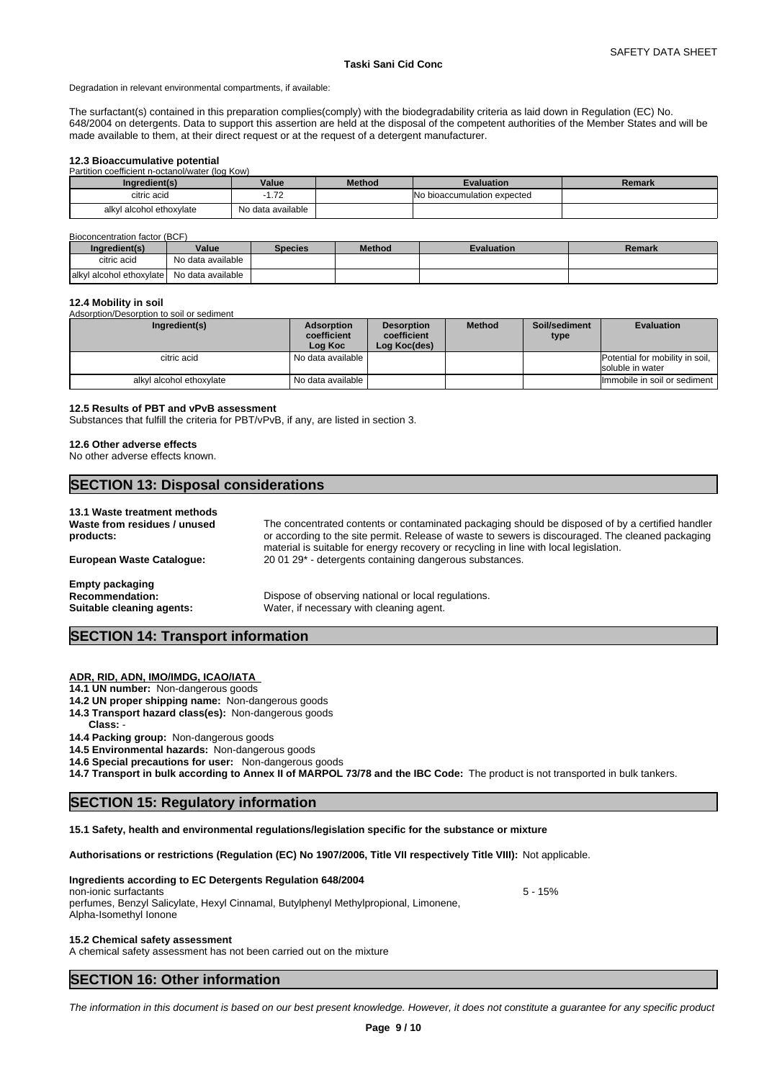Degradation in relevant environmental compartments, if available:

The surfactant(s) contained in this preparation complies(comply) with the biodegradability criteria as laid down in Regulation (EC) No. 648/2004 on detergents. Data to support this assertion are held at the disposal of the competent authorities of the Member States and will be made available to them, at their direct request or at the request of a detergent manufacturer.

# **12.3 Bioaccumulative potential**

| Partition coefficient n-octanol/water (log Kow) |                   |               |                                     |        |
|-------------------------------------------------|-------------------|---------------|-------------------------------------|--------|
| Ingredient(s)                                   | Value             | <b>Method</b> | <b>Evaluation</b>                   | Remark |
| citric acid                                     | .72               |               | <b>INo bioaccumulation expected</b> |        |
| alkyl alcohol ethoxylate                        | No data available |               |                                     |        |

#### Bioconcentration factor (BCF)

| Inaredient(s)                              | Value             | <b>Species</b> | <b>Method</b> | <b>Evaluation</b> | Remark |
|--------------------------------------------|-------------------|----------------|---------------|-------------------|--------|
| citric acid                                | No data available |                |               |                   |        |
| alkyl alcohol ethoxylate No data available |                   |                |               |                   |        |

# **12.4 Mobility in soil**

| Adsorption/Desorption to soil or sediment |                                      |                                                  |               |                       |                                                     |  |  |
|-------------------------------------------|--------------------------------------|--------------------------------------------------|---------------|-----------------------|-----------------------------------------------------|--|--|
| Ingredient(s)                             | Adsorption<br>coefficient<br>Log Koc | <b>Desorption</b><br>coefficient<br>Log Koc(des) | <b>Method</b> | Soil/sediment<br>type | <b>Evaluation</b>                                   |  |  |
| citric acid                               | I No data available I                |                                                  |               |                       | Potential for mobility in soil,<br>soluble in water |  |  |
| alkyl alcohol ethoxylate                  | l No data available                  |                                                  |               |                       | Immobile in soil or sediment                        |  |  |

# **12.5 Results of PBT and vPvB assessment**

Substances that fulfill the criteria for PBT/vPvB, if any, are listed in section 3.

#### **12.6 Other adverse effects**

No other adverse effects known.

# **SECTION 13: Disposal considerations**

#### **13.1 Waste treatment methods**

**Waste from residues / unused products:** The concentrated contents or contaminated packaging should be disposed of by a certified handler or according to the site permit. Release of waste to sewers is discouraged. The cleaned packaging material is suitable for energy recovery or recycling in line with local legislation. **European Waste Catalogue:** 20 01 29\* - detergents containing dangerous substances. **Empty packaging** Recommendation: Dispose of observing national or local regulations. **Suitable cleaning agents:** Water, if necessary with cleaning agent.

# **SECTION 14: Transport information**

# **ADR, RID, ADN, IMO/IMDG, ICAO/IATA**

**14.1 UN number:** Non-dangerous goods

- **14.2 UN proper shipping name:** Non-dangerous goods
- **14.3 Transport hazard class(es):** Non-dangerous goods
- **Class:** -
- **14.4 Packing group:** Non-dangerous goods

**14.5 Environmental hazards:** Non-dangerous goods

**14.6 Special precautions for user:** Non-dangerous goods

**14.7 Transport in bulk according to Annex II of MARPOL 73/78 and the IBC Code:** The product is not transported in bulk tankers.

# **SECTION 15: Regulatory information**

**15.1 Safety, health and environmental regulations/legislation specific for the substance or mixture**

**Authorisations or restrictions (Regulation (EC) No 1907/2006, Title VII respectively Title VIII):** Not applicable.

# **Ingredients according to EC Detergents Regulation 648/2004**

# non-ionic surfactants 5 - 15% and 5 - 15% and 5 - 15% and 5 - 15% and 5 - 15% and 5 - 15% and 5 - 15% and 5 - 15% and 5 - 15% and 5 - 15% and 5 - 15% and 5 - 15% and 5 - 15% and 5 - 15% and 5 - 15% and 5 - 15% and 5 - 15%

perfumes, Benzyl Salicylate, Hexyl Cinnamal, Butylphenyl Methylpropional, Limonene, Alpha-Isomethyl Ionone

# **15.2 Chemical safety assessment**

A chemical safety assessment has not been carried out on the mixture

# **SECTION 16: Other information**

*The information in this document is based on our best present knowledge. However, it does not constitute a guarantee for any specific product*